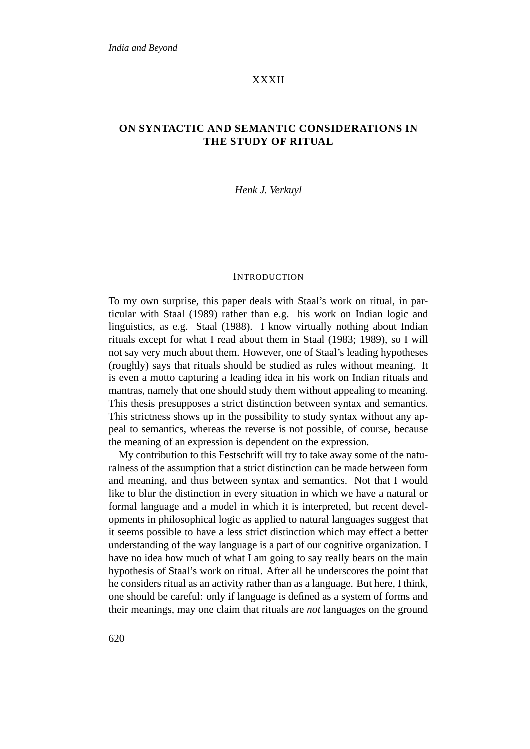# XXXII

# **ON SYNTACTIC AND SEMANTIC CONSIDERATIONS IN THE STUDY OF RITUAL**

# *Henk J. Verkuyl*

#### **INTRODUCTION**

To my own surprise, this paper deals with Staal's work on ritual, in particular with Staal (1989) rather than e.g. his work on Indian logic and linguistics, as e.g. Staal (1988). I know virtually nothing about Indian rituals except for what I read about them in Staal (1983; 1989), so I will not say very much about them. However, one of Staal's leading hypotheses (roughly) says that rituals should be studied as rules without meaning. It is even a motto capturing a leading idea in his work on Indian rituals and mantras, namely that one should study them without appealing to meaning. This thesis presupposes a strict distinction between syntax and semantics. This strictness shows up in the possibility to study syntax without any appeal to semantics, whereas the reverse is not possible, of course, because the meaning of an expression is dependent on the expression.

My contribution to this Festschrift will try to take away some of the naturalness of the assumption that a strict distinction can be made between form and meaning, and thus between syntax and semantics. Not that I would like to blur the distinction in every situation in which we have a natural or formal language and a model in which it is interpreted, but recent developments in philosophical logic as applied to natural languages suggest that it seems possible to have a less strict distinction which may effect a better understanding of the way language is a part of our cognitive organization. I have no idea how much of what I am going to say really bears on the main hypothesis of Staal's work on ritual. After all he underscores the point that he considers ritual as an activity rather than as a language. But here, I think, one should be careful: only if language is defined as a system of forms and their meanings, may one claim that rituals are *not* languages on the ground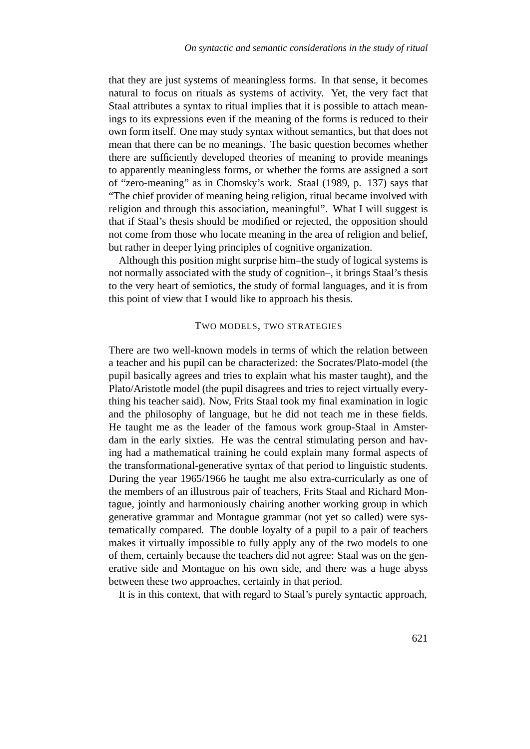that they are just systems of meaningless forms. In that sense, it becomes natural to focus on rituals as systems of activity. Yet, the very fact that Staal attributes a syntax to ritual implies that it is possible to attach meanings to its expressions even if the meaning of the forms is reduced to their own form itself. One may study syntax without semantics, but that does not mean that there can be no meanings. The basic question becomes whether there are sufficiently developed theories of meaning to provide meanings to apparently meaningless forms, or whether the forms are assigned a sort of "zero-meaning" as in Chomsky's work. Staal (1989, p. 137) says that "The chief provider of meaning being religion, ritual became involved with religion and through this association, meaningful". What I will suggest is that if Staal's thesis should be modified or rejected, the opposition should not come from those who locate meaning in the area of religion and belief, but rather in deeper lying principles of cognitive organization.

Although this position might surprise him–the study of logical systems is not normally associated with the study of cognition–, it brings Staal's thesis to the very heart of semiotics, the study of formal languages, and it is from this point of view that I would like to approach his thesis.

# TWO MODELS, TWO STRATEGIES

There are two well-known models in terms of which the relation between a teacher and his pupil can be characterized: the Socrates/Plato-model (the pupil basically agrees and tries to explain what his master taught), and the Plato/Aristotle model (the pupil disagrees and tries to reject virtually everything his teacher said). Now, Frits Staal took my final examination in logic and the philosophy of language, but he did not teach me in these fields. He taught me as the leader of the famous work group-Staal in Amsterdam in the early sixties. He was the central stimulating person and having had a mathematical training he could explain many formal aspects of the transformational-generative syntax of that period to linguistic students. During the year 1965/1966 he taught me also extra-curricularly as one of the members of an illustrous pair of teachers, Frits Staal and Richard Montague, jointly and harmoniously chairing another working group in which generative grammar and Montague grammar (not yet so called) were systematically compared. The double loyalty of a pupil to a pair of teachers makes it virtually impossible to fully apply any of the two models to one of them, certainly because the teachers did not agree: Staal was on the generative side and Montague on his own side, and there was a huge abyss between these two approaches, certainly in that period.

It is in this context, that with regard to Staal's purely syntactic approach,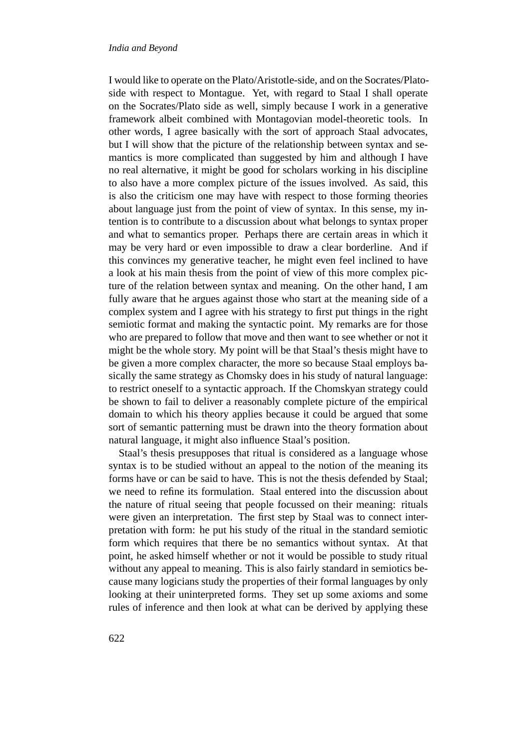I would like to operate on the Plato/Aristotle-side, and on the Socrates/Platoside with respect to Montague. Yet, with regard to Staal I shall operate on the Socrates/Plato side as well, simply because I work in a generative framework albeit combined with Montagovian model-theoretic tools. In other words, I agree basically with the sort of approach Staal advocates, but I will show that the picture of the relationship between syntax and semantics is more complicated than suggested by him and although I have no real alternative, it might be good for scholars working in his discipline to also have a more complex picture of the issues involved. As said, this is also the criticism one may have with respect to those forming theories about language just from the point of view of syntax. In this sense, my intention is to contribute to a discussion about what belongs to syntax proper and what to semantics proper. Perhaps there are certain areas in which it may be very hard or even impossible to draw a clear borderline. And if this convinces my generative teacher, he might even feel inclined to have a look at his main thesis from the point of view of this more complex picture of the relation between syntax and meaning. On the other hand, I am fully aware that he argues against those who start at the meaning side of a complex system and I agree with his strategy to first put things in the right semiotic format and making the syntactic point. My remarks are for those who are prepared to follow that move and then want to see whether or not it might be the whole story. My point will be that Staal's thesis might have to be given a more complex character, the more so because Staal employs basically the same strategy as Chomsky does in his study of natural language: to restrict oneself to a syntactic approach. If the Chomskyan strategy could be shown to fail to deliver a reasonably complete picture of the empirical domain to which his theory applies because it could be argued that some sort of semantic patterning must be drawn into the theory formation about natural language, it might also influence Staal's position.

Staal's thesis presupposes that ritual is considered as a language whose syntax is to be studied without an appeal to the notion of the meaning its forms have or can be said to have. This is not the thesis defended by Staal; we need to refine its formulation. Staal entered into the discussion about the nature of ritual seeing that people focussed on their meaning: rituals were given an interpretation. The first step by Staal was to connect interpretation with form: he put his study of the ritual in the standard semiotic form which requires that there be no semantics without syntax. At that point, he asked himself whether or not it would be possible to study ritual without any appeal to meaning. This is also fairly standard in semiotics because many logicians study the properties of their formal languages by only looking at their uninterpreted forms. They set up some axioms and some rules of inference and then look at what can be derived by applying these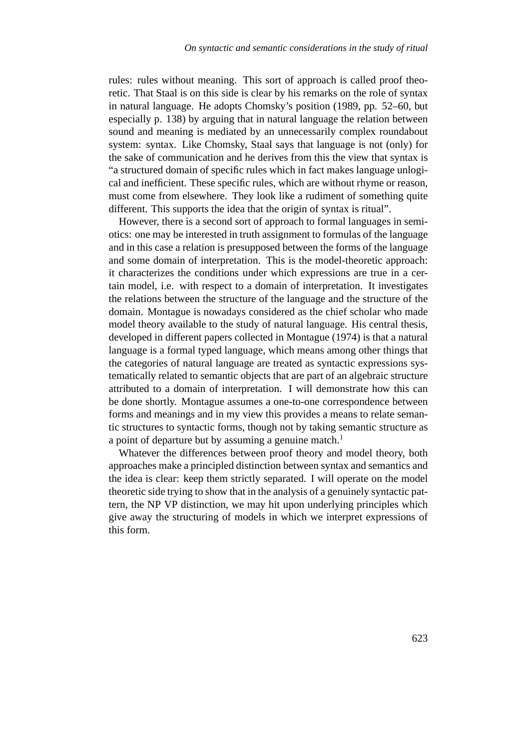rules: rules without meaning. This sort of approach is called proof theoretic. That Staal is on this side is clear by his remarks on the role of syntax in natural language. He adopts Chomsky's position (1989, pp. 52–60, but especially p. 138) by arguing that in natural language the relation between sound and meaning is mediated by an unnecessarily complex roundabout system: syntax. Like Chomsky, Staal says that language is not (only) for the sake of communication and he derives from this the view that syntax is "a structured domain of specific rules which in fact makes language unlogical and inefficient. These specific rules, which are without rhyme or reason, must come from elsewhere. They look like a rudiment of something quite different. This supports the idea that the origin of syntax is ritual".

However, there is a second sort of approach to formal languages in semiotics: one may be interested in truth assignment to formulas of the language and in this case a relation is presupposed between the forms of the language and some domain of interpretation. This is the model-theoretic approach: it characterizes the conditions under which expressions are true in a certain model, i.e. with respect to a domain of interpretation. It investigates the relations between the structure of the language and the structure of the domain. Montague is nowadays considered as the chief scholar who made model theory available to the study of natural language. His central thesis, developed in different papers collected in Montague (1974) is that a natural language is a formal typed language, which means among other things that the categories of natural language are treated as syntactic expressions systematically related to semantic objects that are part of an algebraic structure attributed to a domain of interpretation. I will demonstrate how this can be done shortly. Montague assumes a one-to-one correspondence between forms and meanings and in my view this provides a means to relate semantic structures to syntactic forms, though not by taking semantic structure as a point of departure but by assuming a genuine match.<sup>1</sup>

Whatever the differences between proof theory and model theory, both approaches make a principled distinction between syntax and semantics and the idea is clear: keep them strictly separated. I will operate on the model theoretic side trying to show that in the analysis of a genuinely syntactic pattern, the NP VP distinction, we may hit upon underlying principles which give away the structuring of models in which we interpret expressions of this form.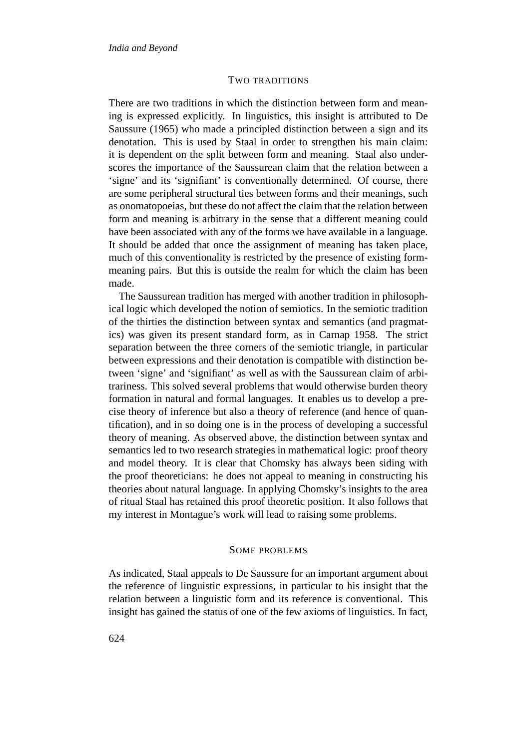#### TWO TRADITIONS

There are two traditions in which the distinction between form and meaning is expressed explicitly. In linguistics, this insight is attributed to De Saussure (1965) who made a principled distinction between a sign and its denotation. This is used by Staal in order to strengthen his main claim: it is dependent on the split between form and meaning. Staal also underscores the importance of the Saussurean claim that the relation between a 'signe' and its 'signifiant' is conventionally determined. Of course, there are some peripheral structural ties between forms and their meanings, such as onomatopoeias, but these do not affect the claim that the relation between form and meaning is arbitrary in the sense that a different meaning could have been associated with any of the forms we have available in a language. It should be added that once the assignment of meaning has taken place, much of this conventionality is restricted by the presence of existing formmeaning pairs. But this is outside the realm for which the claim has been made.

The Saussurean tradition has merged with another tradition in philosophical logic which developed the notion of semiotics. In the semiotic tradition of the thirties the distinction between syntax and semantics (and pragmatics) was given its present standard form, as in Carnap 1958. The strict separation between the three corners of the semiotic triangle, in particular between expressions and their denotation is compatible with distinction between 'signe' and 'signifiant' as well as with the Saussurean claim of arbitrariness. This solved several problems that would otherwise burden theory formation in natural and formal languages. It enables us to develop a precise theory of inference but also a theory of reference (and hence of quantification), and in so doing one is in the process of developing a successful theory of meaning. As observed above, the distinction between syntax and semantics led to two research strategies in mathematical logic: proof theory and model theory. It is clear that Chomsky has always been siding with the proof theoreticians: he does not appeal to meaning in constructing his theories about natural language. In applying Chomsky's insights to the area of ritual Staal has retained this proof theoretic position. It also follows that my interest in Montague's work will lead to raising some problems.

# SOME PROBLEMS

As indicated, Staal appeals to De Saussure for an important argument about the reference of linguistic expressions, in particular to his insight that the relation between a linguistic form and its reference is conventional. This insight has gained the status of one of the few axioms of linguistics. In fact,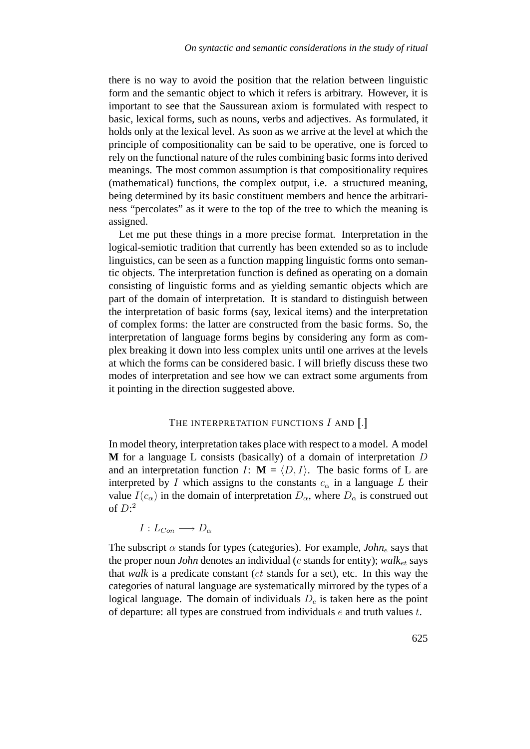there is no way to avoid the position that the relation between linguistic form and the semantic object to which it refers is arbitrary. However, it is important to see that the Saussurean axiom is formulated with respect to basic, lexical forms, such as nouns, verbs and adjectives. As formulated, it holds only at the lexical level. As soon as we arrive at the level at which the principle of compositionality can be said to be operative, one is forced to rely on the functional nature of the rules combining basic forms into derived meanings. The most common assumption is that compositionality requires (mathematical) functions, the complex output, i.e. a structured meaning, being determined by its basic constituent members and hence the arbitrariness "percolates" as it were to the top of the tree to which the meaning is assigned.

Let me put these things in a more precise format. Interpretation in the logical-semiotic tradition that currently has been extended so as to include linguistics, can be seen as a function mapping linguistic forms onto semantic objects. The interpretation function is defined as operating on a domain consisting of linguistic forms and as yielding semantic objects which are part of the domain of interpretation. It is standard to distinguish between the interpretation of basic forms (say, lexical items) and the interpretation of complex forms: the latter are constructed from the basic forms. So, the interpretation of language forms begins by considering any form as complex breaking it down into less complex units until one arrives at the levels at which the forms can be considered basic. I will briefly discuss these two modes of interpretation and see how we can extract some arguments from it pointing in the direction suggested above.

# THE INTERPRETATION FUNCTIONS  $I$  and  $\llbracket . \rrbracket$

In model theory, interpretation takes place with respect to a model. A model **M** for a language L consists (basically) of a domain of interpretation D and an interpretation function *I*:  $M = \langle D, I \rangle$ . The basic forms of L are interpreted by I which assigns to the constants  $c_{\alpha}$  in a language L their value  $I(c_{\alpha})$  in the domain of interpretation  $D_{\alpha}$ , where  $D_{\alpha}$  is construed out of  $D$ :<sup>2</sup>

$$
I: L_{Con} \longrightarrow D_{\alpha}
$$

The subscript  $\alpha$  stands for types (categories). For example, *John<sub>e</sub>* says that the proper noun *John* denotes an individual (e stands for entity);  $walk_{et}$  says that *walk* is a predicate constant (et stands for a set), etc. In this way the categories of natural language are systematically mirrored by the types of a logical language. The domain of individuals  $D_e$  is taken here as the point of departure: all types are construed from individuals  $e$  and truth values  $t$ .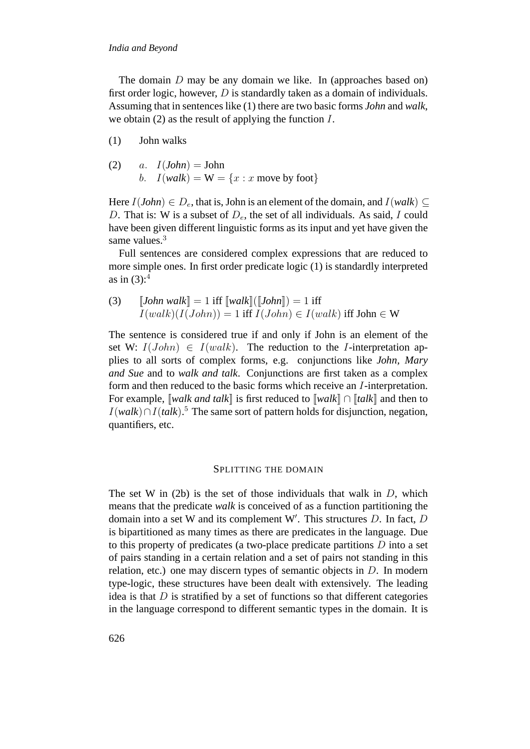The domain  $D$  may be any domain we like. In (approaches based on) first order logic, however, D is standardly taken as a domain of individuals. Assuming that in sentences like (1) there are two basic forms *John* and *walk*, we obtain (2) as the result of applying the function  $I$ .

- John walks(1)
- a.  $I(John) = John$ b.  $I(walk) = W = \{x : x \text{ move by foot}\}\$ (2)

Here  $I(John) \in D_e$ , that is, John is an element of the domain, and  $I(walk) \subseteq$ D. That is: W is a subset of  $D_e$ , the set of all individuals. As said, I could have been given different linguistic forms as its input and yet have given the same values.<sup>3</sup>

Full sentences are considered complex expressions that are reduced to more simple ones. In first order predicate logic (1) is standardly interpreted as in  $(3)$ :<sup>4</sup>

(3) 
$$
\llbracket John walk \rrbracket = 1 \text{ iff } \llbracket walk \rrbracket (\llbracket John \rrbracket) = 1 \text{ iff } I(walk) \text{ iff } \text{John} \in W
$$

$$
I(walk)(I(John)) = 1 \text{ iff } I(John) \in I(walk) \text{ iff } \text{John} \in W
$$

The sentence is considered true if and only if John is an element of the set W:  $I(John) \in I(walk)$ . The reduction to the *I*-interpretation applies to all sorts of complex forms, e.g. conjunctions like *John, Mary and Sue* and to *walk and talk*. Conjunctions are first taken as a complex form and then reduced to the basic forms which receive an I-interpretation. For example, [[*walk and talk*]] is first reduced to [[*walk*]] ∩ [[*talk*]] and then to I(*walk*)∩I(*talk*). <sup>5</sup> The same sort of pattern holds for disjunction, negation, quantifiers, etc.

#### SPLITTING THE DOMAIN

The set W in  $(2b)$  is the set of those individuals that walk in D, which means that the predicate *walk* is conceived of as a function partitioning the domain into a set W and its complement W'. This structures  $D$ . In fact,  $D$ is bipartitioned as many times as there are predicates in the language. Due to this property of predicates (a two-place predicate partitions  $D$  into a set of pairs standing in a certain relation and a set of pairs not standing in this relation, etc.) one may discern types of semantic objects in  $D$ . In modern type-logic, these structures have been dealt with extensively. The leading idea is that  $D$  is stratified by a set of functions so that different categories in the language correspond to different semantic types in the domain. It is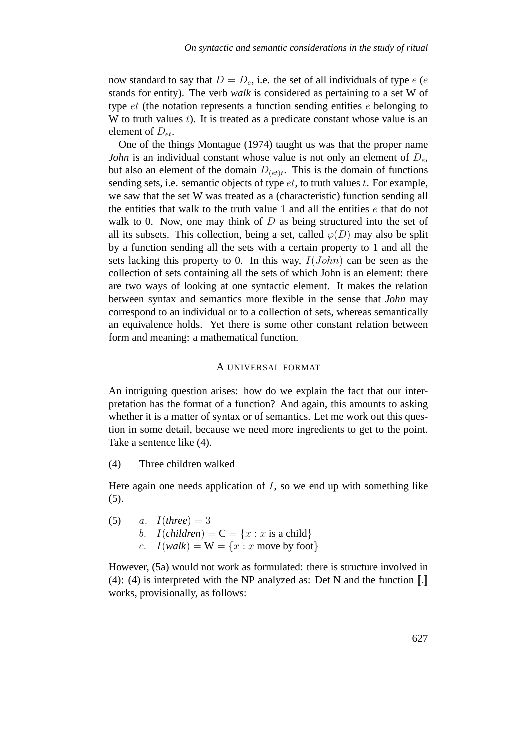now standard to say that  $D = D_e$ , i.e. the set of all individuals of type e (e stands for entity). The verb *walk* is considered as pertaining to a set W of type  $et$  (the notation represents a function sending entities  $e$  belonging to W to truth values  $t$ ). It is treated as a predicate constant whose value is an element of  $D_{et}$ .

One of the things Montague (1974) taught us was that the proper name *John* is an individual constant whose value is not only an element of  $D_e$ , but also an element of the domain  $D_{(et)t}$ . This is the domain of functions sending sets, i.e. semantic objects of type  $et$ , to truth values  $t$ . For example, we saw that the set W was treated as a (characteristic) function sending all the entities that walk to the truth value 1 and all the entities  $e$  that do not walk to 0. Now, one may think of  $D$  as being structured into the set of all its subsets. This collection, being a set, called  $\wp(D)$  may also be split by a function sending all the sets with a certain property to 1 and all the sets lacking this property to 0. In this way,  $I(John)$  can be seen as the collection of sets containing all the sets of which John is an element: there are two ways of looking at one syntactic element. It makes the relation between syntax and semantics more flexible in the sense that *John* may correspond to an individual or to a collection of sets, whereas semantically an equivalence holds. Yet there is some other constant relation between form and meaning: a mathematical function.

# A UNIVERSAL FORMAT

An intriguing question arises: how do we explain the fact that our interpretation has the format of a function? And again, this amounts to asking whether it is a matter of syntax or of semantics. Let me work out this question in some detail, because we need more ingredients to get to the point. Take a sentence like (4).

 $(4)$  Three children walked

Here again one needs application of  $I$ , so we end up with something like (5).

a.  $I$ (*three*) = 3 b.  $I(children) = C = \{x : x \text{ is a child}\}\$ c.  $I(walk) = W = \{x : x \text{ move by foot}\}\$ (5)

However, (5a) would not work as formulated: there is structure involved in (4): (4) is interpreted with the NP analyzed as: Det N and the function  $\llbracket . \rrbracket$ works, provisionally, as follows: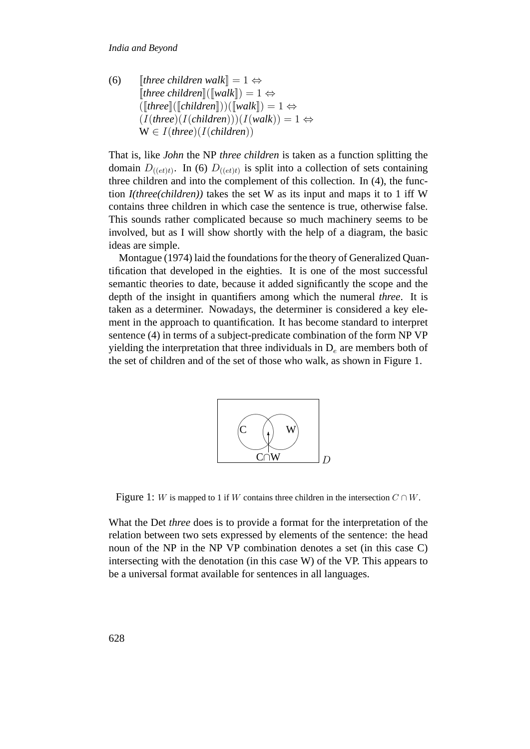[*three children walk*] = 1 ⇔  $[|three\, children]$  $(|[walk]|) = 1 \Leftrightarrow$  $(\lceil$ *three* $\lceil$ ( $\lceil$ *children* $\lceil$ ))( $\lceil$ *walk* $\rceil$ ) = 1  $\Leftrightarrow$  $(I(three)(I(children)))(I(walk)) = 1 \Leftrightarrow$ W ∈ I(*three*)(I(*children*)) (6)

That is, like *John* the NP *three children* is taken as a function splitting the domain  $D_{((et)t)}$ . In (6)  $D_{((et)t)}$  is split into a collection of sets containing three children and into the complement of this collection. In (4), the function *I(three(children))* takes the set W as its input and maps it to 1 iff W contains three children in which case the sentence is true, otherwise false. This sounds rather complicated because so much machinery seems to be involved, but as I will show shortly with the help of a diagram, the basic ideas are simple.

Montague (1974) laid the foundations for the theory of Generalized Quantification that developed in the eighties. It is one of the most successful semantic theories to date, because it added significantly the scope and the depth of the insight in quantifiers among which the numeral *three*. It is taken as a determiner. Nowadays, the determiner is considered a key element in the approach to quantification. It has become standard to interpret sentence (4) in terms of a subject-predicate combination of the form NP VP yielding the interpretation that three individuals in  $D_e$  are members both of the set of children and of the set of those who walk, as shown in Figure 1.



Figure 1: W is mapped to 1 if W contains three children in the intersection  $C \cap W$ .

What the Det *three* does is to provide a format for the interpretation of the relation between two sets expressed by elements of the sentence: the head noun of the NP in the NP VP combination denotes a set (in this case C) intersecting with the denotation (in this case W) of the VP. This appears to be a universal format available for sentences in all languages.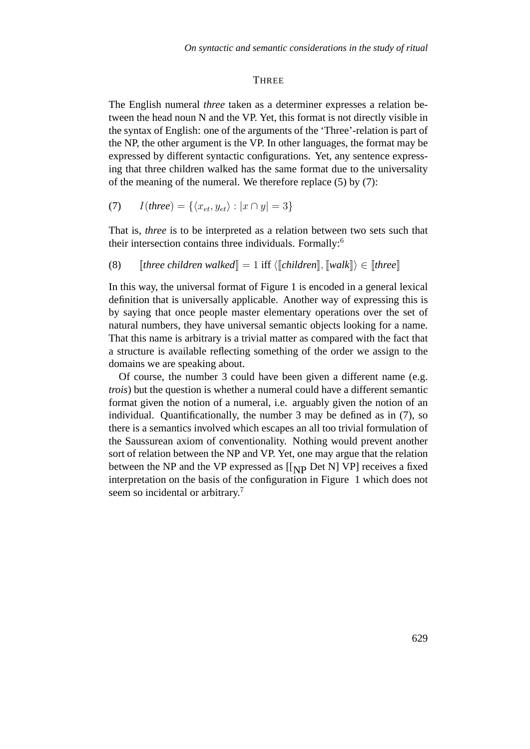#### **THREE**

The English numeral *three* taken as a determiner expresses a relation between the head noun N and the VP. Yet, this format is not directly visible in the syntax of English: one of the arguments of the 'Three'-relation is part of the NP, the other argument is the VP. In other languages, the format may be expressed by different syntactic configurations. Yet, any sentence expressing that three children walked has the same format due to the universality of the meaning of the numeral. We therefore replace (5) by (7):

$$
(7) \qquad I(\text{three}) = \{ \langle x_{et}, y_{et} \rangle : |x \cap y| = 3 \}
$$

That is, *three* is to be interpreted as a relation between two sets such that their intersection contains three individuals. Formally:<sup>6</sup>

(8) [three children walked] = 1 iff 
$$
\langle
$$
 [children],  $\langle$  [walk] \rangle \in [three]

In this way, the universal format of Figure 1 is encoded in a general lexical definition that is universally applicable. Another way of expressing this is by saying that once people master elementary operations over the set of natural numbers, they have universal semantic objects looking for a name. That this name is arbitrary is a trivial matter as compared with the fact that a structure is available reflecting something of the order we assign to the domains we are speaking about.

Of course, the number 3 could have been given a different name (e.g. *trois*) but the question is whether a numeral could have a different semantic format given the notion of a numeral, i.e. arguably given the notion of an individual. Quantificationally, the number 3 may be defined as in (7), so there is a semantics involved which escapes an all too trivial formulation of the Saussurean axiom of conventionality. Nothing would prevent another sort of relation between the NP and VP. Yet, one may argue that the relation between the NP and the VP expressed as  $[[p]$  Det N] VP] receives a fixed interpretation on the basis of the configuration in Figure 1 which does not seem so incidental or arbitrary.<sup>7</sup>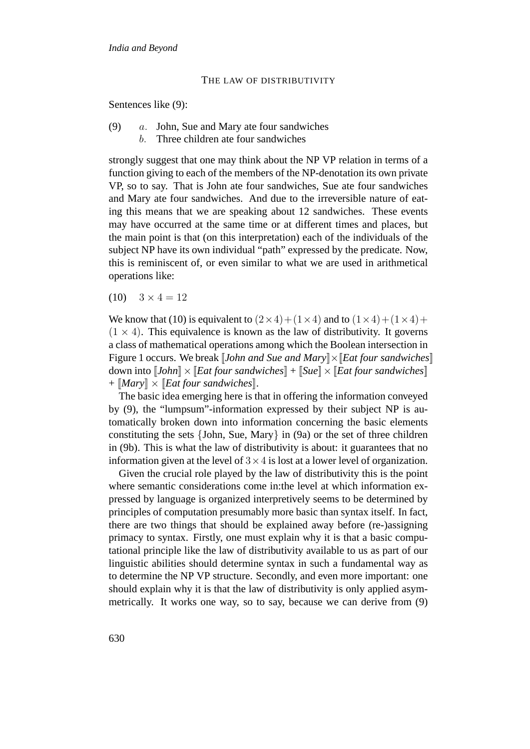#### THE LAW OF DISTRIBUTIVITY

Sentences like (9):

- a. John, Sue and Mary ate four sandwiches (9)
	- b. Three children ate four sandwiches

strongly suggest that one may think about the NP VP relation in terms of a function giving to each of the members of the NP-denotation its own private VP, so to say. That is John ate four sandwiches, Sue ate four sandwiches and Mary ate four sandwiches. And due to the irreversible nature of eating this means that we are speaking about 12 sandwiches. These events may have occurred at the same time or at different times and places, but the main point is that (on this interpretation) each of the individuals of the subject NP have its own individual "path" expressed by the predicate. Now, this is reminiscent of, or even similar to what we are used in arithmetical operations like:

 $(10)$   $3 \times 4 = 12$ 

We know that (10) is equivalent to  $(2 \times 4) + (1 \times 4)$  and to  $(1 \times 4) + (1 \times 4) +$  $(1 \times 4)$ . This equivalence is known as the law of distributivity. It governs a class of mathematical operations among which the Boolean intersection in Figure 1 occurs. We break *[John and Sue and Mary*] $\angle$  *[Eat four sandwiches]* down into  $[[John] \times [Eat four~sandwiches]] + [Sue] \times [Eat four~sandwiches]]$ + [[*Mary*]] × [[*Eat four sandwiches*]].

The basic idea emerging here is that in offering the information conveyed by (9), the "lumpsum"-information expressed by their subject NP is automatically broken down into information concerning the basic elements constituting the sets {John, Sue, Mary} in (9a) or the set of three children in (9b). This is what the law of distributivity is about: it guarantees that no information given at the level of  $3 \times 4$  is lost at a lower level of organization.

Given the crucial role played by the law of distributivity this is the point where semantic considerations come in:the level at which information expressed by language is organized interpretively seems to be determined by principles of computation presumably more basic than syntax itself. In fact, there are two things that should be explained away before (re-)assigning primacy to syntax. Firstly, one must explain why it is that a basic computational principle like the law of distributivity available to us as part of our linguistic abilities should determine syntax in such a fundamental way as to determine the NP VP structure. Secondly, and even more important: one should explain why it is that the law of distributivity is only applied asymmetrically. It works one way, so to say, because we can derive from (9)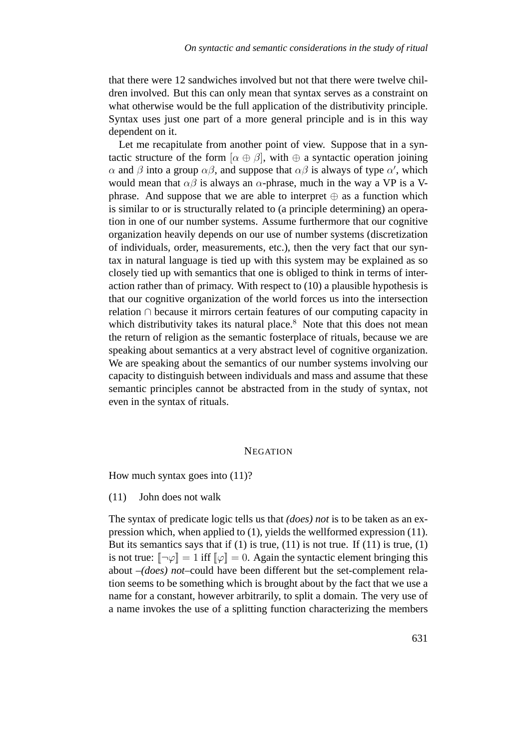that there were 12 sandwiches involved but not that there were twelve children involved. But this can only mean that syntax serves as a constraint on what otherwise would be the full application of the distributivity principle. Syntax uses just one part of a more general principle and is in this way dependent on it.

Let me recapitulate from another point of view. Suppose that in a syntactic structure of the form  $[\alpha \oplus \beta]$ , with  $\oplus$  a syntactic operation joining  $\alpha$  and  $\beta$  into a group  $\alpha\beta$ , and suppose that  $\alpha\beta$  is always of type  $\alpha'$ , which would mean that  $\alpha\beta$  is always an  $\alpha$ -phrase, much in the way a VP is a Vphrase. And suppose that we are able to interpret  $\oplus$  as a function which is similar to or is structurally related to (a principle determining) an operation in one of our number systems. Assume furthermore that our cognitive organization heavily depends on our use of number systems (discretization of individuals, order, measurements, etc.), then the very fact that our syntax in natural language is tied up with this system may be explained as so closely tied up with semantics that one is obliged to think in terms of interaction rather than of primacy. With respect to (10) a plausible hypothesis is that our cognitive organization of the world forces us into the intersection relation ∩ because it mirrors certain features of our computing capacity in which distributivity takes its natural place. $8$  Note that this does not mean the return of religion as the semantic fosterplace of rituals, because we are speaking about semantics at a very abstract level of cognitive organization. We are speaking about the semantics of our number systems involving our capacity to distinguish between individuals and mass and assume that these semantic principles cannot be abstracted from in the study of syntax, not even in the syntax of rituals.

#### **NEGATION**

How much syntax goes into  $(11)$ ?

 $(11)$  John does not walk

The syntax of predicate logic tells us that *(does) not* is to be taken as an expression which, when applied to (1), yields the wellformed expression (11). But its semantics says that if  $(1)$  is true,  $(11)$  is not true. If  $(11)$  is true,  $(1)$ is not true:  $[\neg \varphi] = 1$  iff  $[\varphi] = 0$ . Again the syntactic element bringing this about –*(does) not*–could have been different but the set-complement relation seems to be something which is brought about by the fact that we use a name for a constant, however arbitrarily, to split a domain. The very use of a name invokes the use of a splitting function characterizing the members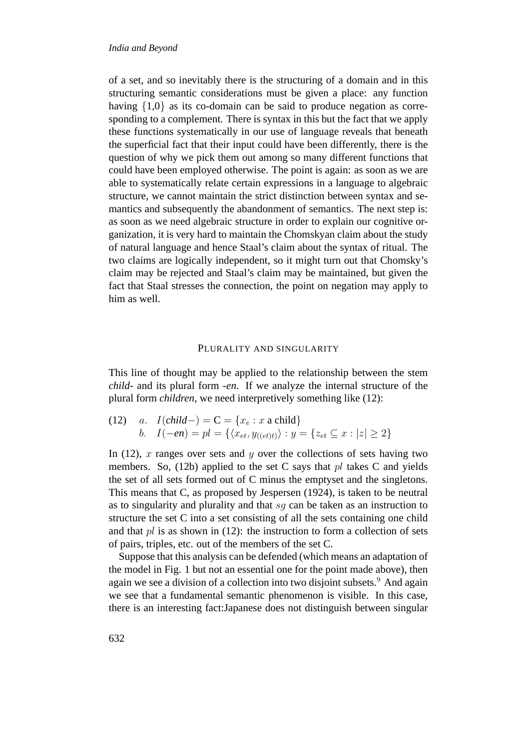of a set, and so inevitably there is the structuring of a domain and in this structuring semantic considerations must be given a place: any function having  $\{1,0\}$  as its co-domain can be said to produce negation as corresponding to a complement. There is syntax in this but the fact that we apply these functions systematically in our use of language reveals that beneath the superficial fact that their input could have been differently, there is the question of why we pick them out among so many different functions that could have been employed otherwise. The point is again: as soon as we are able to systematically relate certain expressions in a language to algebraic structure, we cannot maintain the strict distinction between syntax and semantics and subsequently the abandonment of semantics. The next step is: as soon as we need algebraic structure in order to explain our cognitive organization, it is very hard to maintain the Chomskyan claim about the study of natural language and hence Staal's claim about the syntax of ritual. The two claims are logically independent, so it might turn out that Chomsky's claim may be rejected and Staal's claim may be maintained, but given the fact that Staal stresses the connection, the point on negation may apply to him as well.

# PLURALITY AND SINGULARITY

This line of thought may be applied to the relationship between the stem *child*- and its plural form -*en*. If we analyze the internal structure of the plural form *children*, we need interpretively something like (12):

(12) a. 
$$
I\left(\text{child-}\right) = C = \{x_e : x \text{ a child}\}\
$$
  
b.  $I(-en) = pl = \{\langle x_{et}, y_{((et)t)} \rangle : y = \{z_{et} \subseteq x : |z| \ge 2\}\}\$ 

In (12), x ranges over sets and y over the collections of sets having two members. So,  $(12b)$  applied to the set C says that pl takes C and yields the set of all sets formed out of C minus the emptyset and the singletons. This means that C, as proposed by Jespersen (1924), is taken to be neutral as to singularity and plurality and that  $sq$  can be taken as an instruction to structure the set C into a set consisting of all the sets containing one child and that  $pl$  is as shown in (12): the instruction to form a collection of sets of pairs, triples, etc. out of the members of the set C.

Suppose that this analysis can be defended (which means an adaptation of the model in Fig. 1 but not an essential one for the point made above), then again we see a division of a collection into two disjoint subsets.<sup>9</sup> And again we see that a fundamental semantic phenomenon is visible. In this case, there is an interesting fact:Japanese does not distinguish between singular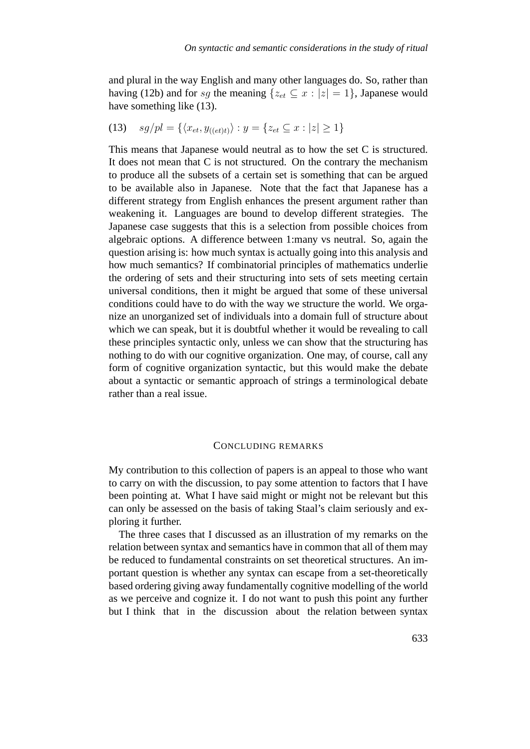and plural in the way English and many other languages do. So, rather than having (12b) and for sq the meaning  $\{z_{et} \subseteq x : |z| = 1\}$ , Japanese would have something like (13).

(13) 
$$
sg/pl = \{ \langle x_{et}, y_{((et)t)} \rangle : y = \{ z_{et} \subseteq x : |z| \ge 1 \}
$$

This means that Japanese would neutral as to how the set C is structured. It does not mean that C is not structured. On the contrary the mechanism to produce all the subsets of a certain set is something that can be argued to be available also in Japanese. Note that the fact that Japanese has a different strategy from English enhances the present argument rather than weakening it. Languages are bound to develop different strategies. The Japanese case suggests that this is a selection from possible choices from algebraic options. A difference between 1:many vs neutral. So, again the question arising is: how much syntax is actually going into this analysis and how much semantics? If combinatorial principles of mathematics underlie the ordering of sets and their structuring into sets of sets meeting certain universal conditions, then it might be argued that some of these universal conditions could have to do with the way we structure the world. We organize an unorganized set of individuals into a domain full of structure about which we can speak, but it is doubtful whether it would be revealing to call these principles syntactic only, unless we can show that the structuring has nothing to do with our cognitive organization. One may, of course, call any form of cognitive organization syntactic, but this would make the debate about a syntactic or semantic approach of strings a terminological debate rather than a real issue.

#### CONCLUDING REMARKS

My contribution to this collection of papers is an appeal to those who want to carry on with the discussion, to pay some attention to factors that I have been pointing at. What I have said might or might not be relevant but this can only be assessed on the basis of taking Staal's claim seriously and exploring it further.

The three cases that I discussed as an illustration of my remarks on the relation between syntax and semantics have in common that all of them may be reduced to fundamental constraints on set theoretical structures. An important question is whether any syntax can escape from a set-theoretically based ordering giving away fundamentally cognitive modelling of the world as we perceive and cognize it. I do not want to push this point any further but I think that in the discussion about the relation between syntax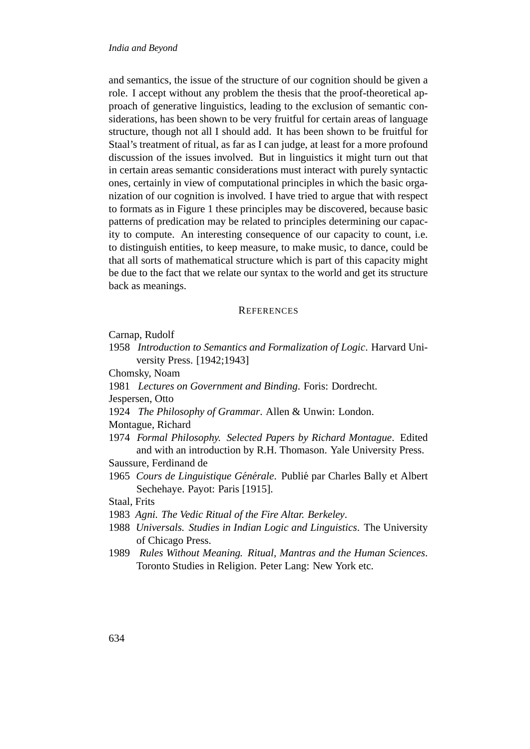and semantics, the issue of the structure of our cognition should be given a role. I accept without any problem the thesis that the proof-theoretical approach of generative linguistics, leading to the exclusion of semantic considerations, has been shown to be very fruitful for certain areas of language structure, though not all I should add. It has been shown to be fruitful for Staal's treatment of ritual, as far as I can judge, at least for a more profound discussion of the issues involved. But in linguistics it might turn out that in certain areas semantic considerations must interact with purely syntactic ones, certainly in view of computational principles in which the basic organization of our cognition is involved. I have tried to argue that with respect to formats as in Figure 1 these principles may be discovered, because basic patterns of predication may be related to principles determining our capacity to compute. An interesting consequence of our capacity to count, i.e. to distinguish entities, to keep measure, to make music, to dance, could be that all sorts of mathematical structure which is part of this capacity might be due to the fact that we relate our syntax to the world and get its structure back as meanings.

#### **REFERENCES**

Carnap, Rudolf

1958 *Introduction to Semantics and Formalization of Logic*. Harvard University Press. [1942;1943]

Chomsky, Noam

- 1981 *Lectures on Government and Binding*. Foris: Dordrecht.
- Jespersen, Otto
- 1924 *The Philosophy of Grammar*. Allen & Unwin: London.

Montague, Richard

- 1974 *Formal Philosophy. Selected Papers by Richard Montague*. Edited and with an introduction by R.H. Thomason. Yale University Press. Saussure, Ferdinand de
- 1965 *Cours de Linguistique Générale*. Publié par Charles Bally et Albert Sechehaye. Payot: Paris [1915].

Staal, Frits

- 1983 *Agni. The Vedic Ritual of the Fire Altar. Berkeley*.
- 1988 *Universals. Studies in Indian Logic and Linguistics*. The University of Chicago Press.
- 1989 *Rules Without Meaning. Ritual, Mantras and the Human Sciences*. Toronto Studies in Religion. Peter Lang: New York etc.